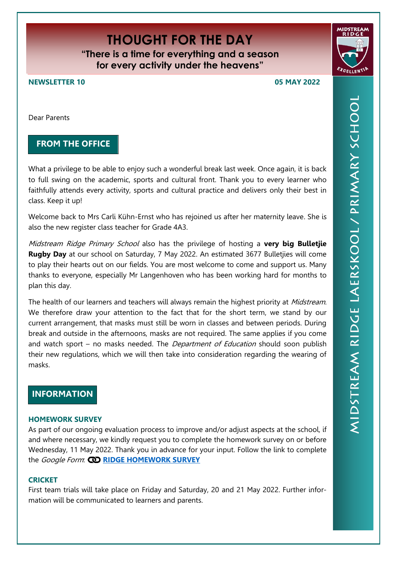# **THOUGHT FOR THE DAY**

**"There is a time for everything and a season for every activity under the heavens"**

**NEWSLETTER 10 05 MAY 2022**

Dear Parents

## **FROM THE OFFICE**

What a privilege to be able to enjoy such a wonderful break last week. Once again, it is back to full swing on the academic, sports and cultural front. Thank you to every learner who faithfully attends every activity, sports and cultural practice and delivers only their best in class. Keep it up!

Welcome back to Mrs Carli Kühn-Ernst who has rejoined us after her maternity leave. She is also the new register class teacher for Grade 4A3.

Midstream Ridge Primary School also has the privilege of hosting a **very big Bulletjie Rugby Day** at our school on Saturday, 7 May 2022. An estimated 3677 Bulletjies will come to play their hearts out on our fields. You are most welcome to come and support us. Many thanks to everyone, especially Mr Langenhoven who has been working hard for months to plan this day.

The health of our learners and teachers will always remain the highest priority at Midstream. We therefore draw your attention to the fact that for the short term, we stand by our current arrangement, that masks must still be worn in classes and between periods. During break and outside in the afternoons, masks are not required. The same applies if you come and watch sport – no masks needed. The *Department of Education* should soon publish their new regulations, which we will then take into consideration regarding the wearing of masks.

# **INFORMATION**

#### **HOMEWORK SURVEY**

As part of our ongoing evaluation process to improve and/or adjust aspects at the school, if and where necessary, we kindly request you to complete the homework survey on or before Wednesday, 11 May 2022. Thank you in advance for your input. Follow the link to complete the Google Form: **[RIDGE HOMEWORK SURVEY](https://forms.gle/29UH3v6ZmNxh4DX99)**

#### **CRICKET**

First team trials will take place on Friday and Saturday, 20 and 21 May 2022. Further information will be communicated to learners and parents.